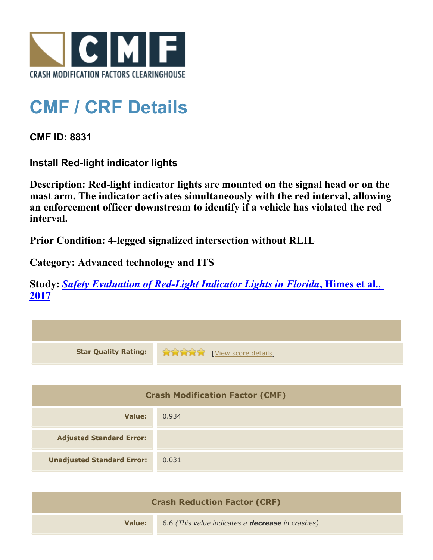

## **CMF / CRF Details**

**CMF ID: 8831**

**Install Red-light indicator lights**

**Description: Red-light indicator lights are mounted on the signal head or on the mast arm. The indicator activates simultaneously with the red interval, allowing an enforcement officer downstream to identify if a vehicle has violated the red interval.**

**Prior Condition: 4-legged signalized intersection without RLIL**

**Category: Advanced technology and ITS**

**Study:** *[Safety Evaluation of Red-Light Indicator Lights in Florida](http://www.cmfclearinghouse.org/study_detail.cfm?stid=483)***[, Himes et al.,](http://www.cmfclearinghouse.org/study_detail.cfm?stid=483) [2017](http://www.cmfclearinghouse.org/study_detail.cfm?stid=483)**

| <b>Star Quality Rating:</b>            | <b>THE EXAMPLE THE EXAMPLE TO LIST LIST CONTROLLER</b> |  |
|----------------------------------------|--------------------------------------------------------|--|
|                                        |                                                        |  |
| <b>Crash Modification Factor (CMF)</b> |                                                        |  |
| <b>Value:</b>                          | 0.934                                                  |  |
| <b>Adjusted Standard Error:</b>        |                                                        |  |
| <b>Unadjusted Standard Error:</b>      | 0.031                                                  |  |
|                                        |                                                        |  |

| <b>Crash Reduction Factor (CRF)</b> |                                                         |
|-------------------------------------|---------------------------------------------------------|
| Value:                              | 6.6 (This value indicates a <b>decrease</b> in crashes) |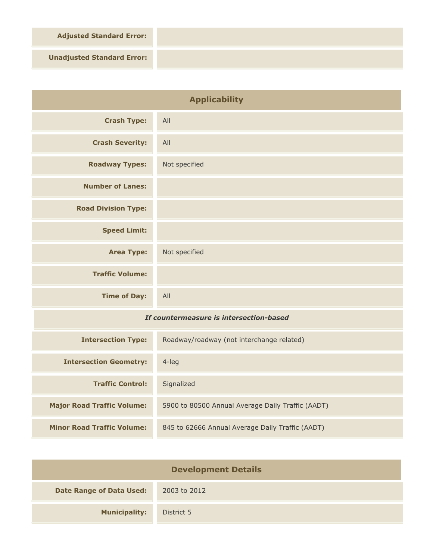**Adjusted Standard Error:**

**Unadjusted Standard Error:**

| <b>Applicability</b>                    |                                                   |
|-----------------------------------------|---------------------------------------------------|
| <b>Crash Type:</b>                      | All                                               |
| <b>Crash Severity:</b>                  | All                                               |
| <b>Roadway Types:</b>                   | Not specified                                     |
| <b>Number of Lanes:</b>                 |                                                   |
| <b>Road Division Type:</b>              |                                                   |
| <b>Speed Limit:</b>                     |                                                   |
| <b>Area Type:</b>                       | Not specified                                     |
| <b>Traffic Volume:</b>                  |                                                   |
| <b>Time of Day:</b>                     | All                                               |
| If countermeasure is intersection-based |                                                   |
| <b>Intersection Type:</b>               | Roadway/roadway (not interchange related)         |
| <b>Intersection Geometry:</b>           | 4-leg                                             |
| <b>Traffic Control:</b>                 | Signalized                                        |
| <b>Major Road Traffic Volume:</b>       | 5900 to 80500 Annual Average Daily Traffic (AADT) |

| <b>Development Details</b>      |              |  |
|---------------------------------|--------------|--|
| <b>Date Range of Data Used:</b> | 2003 to 2012 |  |
| <b>Municipality:</b>            | District 5   |  |

**Minor Road Traffic Volume:** 845 to 62666 Annual Average Daily Traffic (AADT)